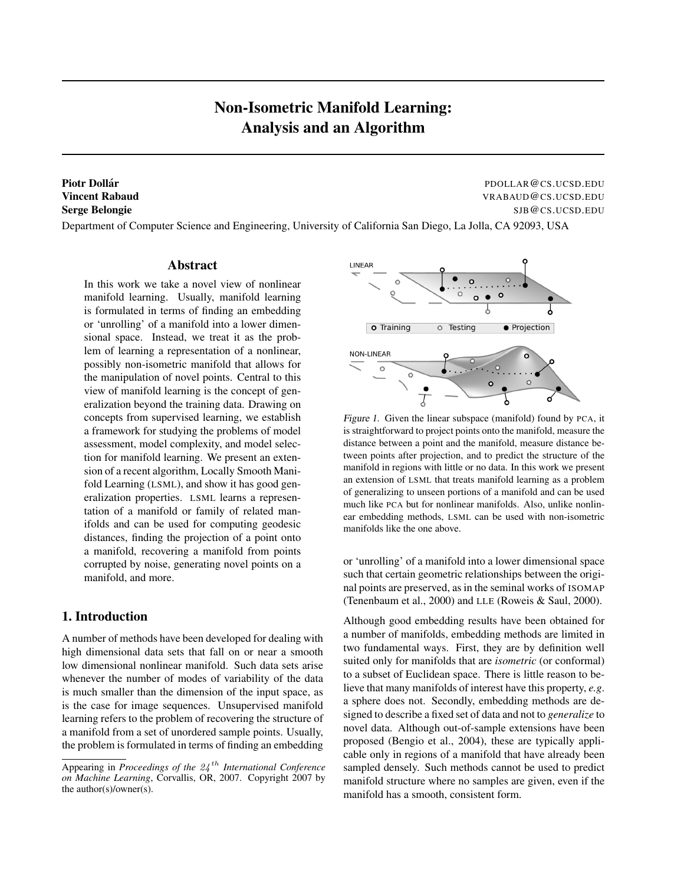# Non-Isometric Manifold Learning: Analysis and an Algorithm

Piotr Dollár<sup>o Pol</sup>lár<sup>o Pol</sup>lár<sup>o Pol</sup>láro Polláro Polláro Polláro Polláro Polláro Polláro Polláro Polláro Polláro Polláro Polláro Polláro Polláro Polláro Polláro Polláro Polláro Polláro Polláro Polláro Polláro Polláro Po **Vincent Rabaud VRABAUD@CS.UCSD.EDU** Serge Belongie Same Superior Superior Superior SJB @CS.UCSD.EDU

Department of Computer Science and Engineering, University of California San Diego, La Jolla, CA 92093, USA

# Abstract

In this work we take a novel view of nonlinear manifold learning. Usually, manifold learning is formulated in terms of finding an embedding or 'unrolling' of a manifold into a lower dimensional space. Instead, we treat it as the problem of learning a representation of a nonlinear, possibly non-isometric manifold that allows for the manipulation of novel points. Central to this view of manifold learning is the concept of generalization beyond the training data. Drawing on concepts from supervised learning, we establish a framework for studying the problems of model assessment, model complexity, and model selection for manifold learning. We present an extension of a recent algorithm, Locally Smooth Manifold Learning (LSML), and show it has good generalization properties. LSML learns a representation of a manifold or family of related manifolds and can be used for computing geodesic distances, finding the projection of a point onto a manifold, recovering a manifold from points corrupted by noise, generating novel points on a manifold, and more.

# 1. Introduction

A number of methods have been developed for dealing with high dimensional data sets that fall on or near a smooth low dimensional nonlinear manifold. Such data sets arise whenever the number of modes of variability of the data is much smaller than the dimension of the input space, as is the case for image sequences. Unsupervised manifold learning refers to the problem of recovering the structure of a manifold from a set of unordered sample points. Usually, the problem is formulated in terms of finding an embedding



Figure 1. Given the linear subspace (manifold) found by PCA, it is straightforward to project points onto the manifold, measure the distance between a point and the manifold, measure distance between points after projection, and to predict the structure of the manifold in regions with little or no data. In this work we present an extension of LSML that treats manifold learning as a problem of generalizing to unseen portions of a manifold and can be used much like PCA but for nonlinear manifolds. Also, unlike nonlinear embedding methods, LSML can be used with non-isometric manifolds like the one above.

or 'unrolling' of a manifold into a lower dimensional space such that certain geometric relationships between the original points are preserved, as in the seminal works of ISOMAP (Tenenbaum et al., 2000) and LLE (Roweis & Saul, 2000).

Although good embedding results have been obtained for a number of manifolds, embedding methods are limited in two fundamental ways. First, they are by definition well suited only for manifolds that are *isometric* (or conformal) to a subset of Euclidean space. There is little reason to believe that many manifolds of interest have this property, *e.g*. a sphere does not. Secondly, embedding methods are designed to describe a fixed set of data and not to *generalize* to novel data. Although out-of-sample extensions have been proposed (Bengio et al., 2004), these are typically applicable only in regions of a manifold that have already been sampled densely. Such methods cannot be used to predict manifold structure where no samples are given, even if the manifold has a smooth, consistent form.

Appearing in *Proceedings of the*  $24$ <sup>th</sup> *International Conference on Machine Learning*, Corvallis, OR, 2007. Copyright 2007 by the author(s)/owner(s).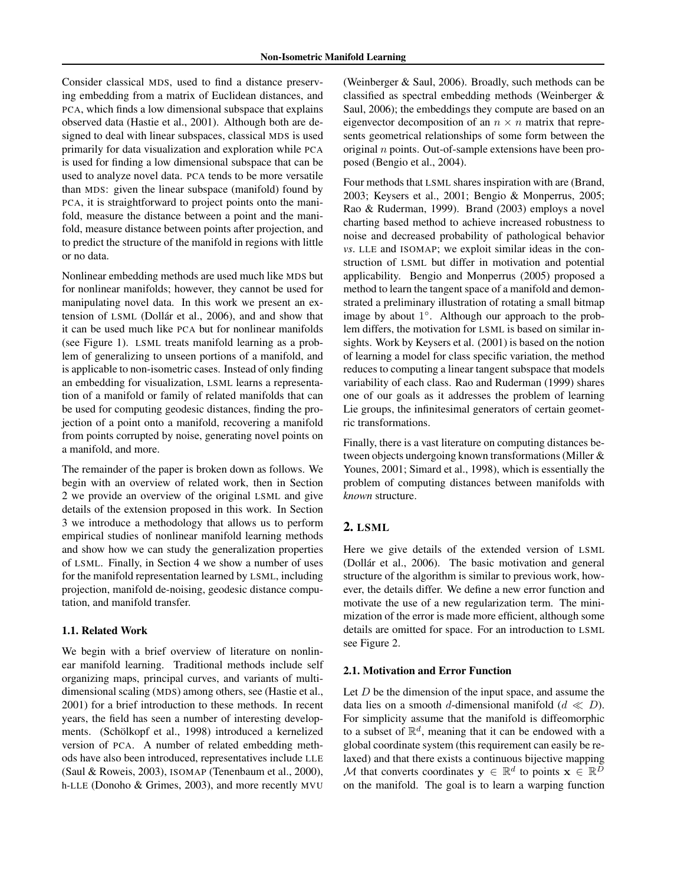Consider classical MDS, used to find a distance preserving embedding from a matrix of Euclidean distances, and PCA, which finds a low dimensional subspace that explains observed data (Hastie et al., 2001). Although both are designed to deal with linear subspaces, classical MDS is used primarily for data visualization and exploration while PCA is used for finding a low dimensional subspace that can be used to analyze novel data. PCA tends to be more versatile than MDS: given the linear subspace (manifold) found by PCA, it is straightforward to project points onto the manifold, measure the distance between a point and the manifold, measure distance between points after projection, and to predict the structure of the manifold in regions with little or no data.

Nonlinear embedding methods are used much like MDS but for nonlinear manifolds; however, they cannot be used for manipulating novel data. In this work we present an extension of LSML (Dollár et al., 2006), and and show that it can be used much like PCA but for nonlinear manifolds (see Figure 1). LSML treats manifold learning as a problem of generalizing to unseen portions of a manifold, and is applicable to non-isometric cases. Instead of only finding an embedding for visualization, LSML learns a representation of a manifold or family of related manifolds that can be used for computing geodesic distances, finding the projection of a point onto a manifold, recovering a manifold from points corrupted by noise, generating novel points on a manifold, and more.

The remainder of the paper is broken down as follows. We begin with an overview of related work, then in Section 2 we provide an overview of the original LSML and give details of the extension proposed in this work. In Section 3 we introduce a methodology that allows us to perform empirical studies of nonlinear manifold learning methods and show how we can study the generalization properties of LSML. Finally, in Section 4 we show a number of uses for the manifold representation learned by LSML, including projection, manifold de-noising, geodesic distance computation, and manifold transfer.

# 1.1. Related Work

We begin with a brief overview of literature on nonlinear manifold learning. Traditional methods include self organizing maps, principal curves, and variants of multidimensional scaling (MDS) among others, see (Hastie et al., 2001) for a brief introduction to these methods. In recent years, the field has seen a number of interesting developments. (Schölkopf et al., 1998) introduced a kernelized version of PCA. A number of related embedding methods have also been introduced, representatives include LLE (Saul & Roweis, 2003), ISOMAP (Tenenbaum et al., 2000), h-LLE (Donoho & Grimes, 2003), and more recently MVU

(Weinberger & Saul, 2006). Broadly, such methods can be classified as spectral embedding methods (Weinberger & Saul, 2006); the embeddings they compute are based on an eigenvector decomposition of an  $n \times n$  matrix that represents geometrical relationships of some form between the original  $n$  points. Out-of-sample extensions have been proposed (Bengio et al., 2004).

Four methods that LSML shares inspiration with are (Brand, 2003; Keysers et al., 2001; Bengio & Monperrus, 2005; Rao & Ruderman, 1999). Brand (2003) employs a novel charting based method to achieve increased robustness to noise and decreased probability of pathological behavior *vs*. LLE and ISOMAP; we exploit similar ideas in the construction of LSML but differ in motivation and potential applicability. Bengio and Monperrus (2005) proposed a method to learn the tangent space of a manifold and demonstrated a preliminary illustration of rotating a small bitmap image by about 1°. Although our approach to the problem differs, the motivation for LSML is based on similar insights. Work by Keysers et al. (2001) is based on the notion of learning a model for class specific variation, the method reduces to computing a linear tangent subspace that models variability of each class. Rao and Ruderman (1999) shares one of our goals as it addresses the problem of learning Lie groups, the infinitesimal generators of certain geometric transformations.

Finally, there is a vast literature on computing distances between objects undergoing known transformations (Miller & Younes, 2001; Simard et al., 1998), which is essentially the problem of computing distances between manifolds with *known* structure.

# 2. LSML

Here we give details of the extended version of LSML (Dollár et al., 2006). The basic motivation and general structure of the algorithm is similar to previous work, however, the details differ. We define a new error function and motivate the use of a new regularization term. The minimization of the error is made more efficient, although some details are omitted for space. For an introduction to LSML see Figure 2.

#### 2.1. Motivation and Error Function

Let  $D$  be the dimension of the input space, and assume the data lies on a smooth d-dimensional manifold  $(d \ll D)$ . For simplicity assume that the manifold is diffeomorphic to a subset of  $\mathbb{R}^d$ , meaning that it can be endowed with a global coordinate system (this requirement can easily be relaxed) and that there exists a continuous bijective mapping M that converts coordinates  $y \in \mathbb{R}^d$  to points  $x \in \mathbb{R}^{\overline{D}}$ on the manifold. The goal is to learn a warping function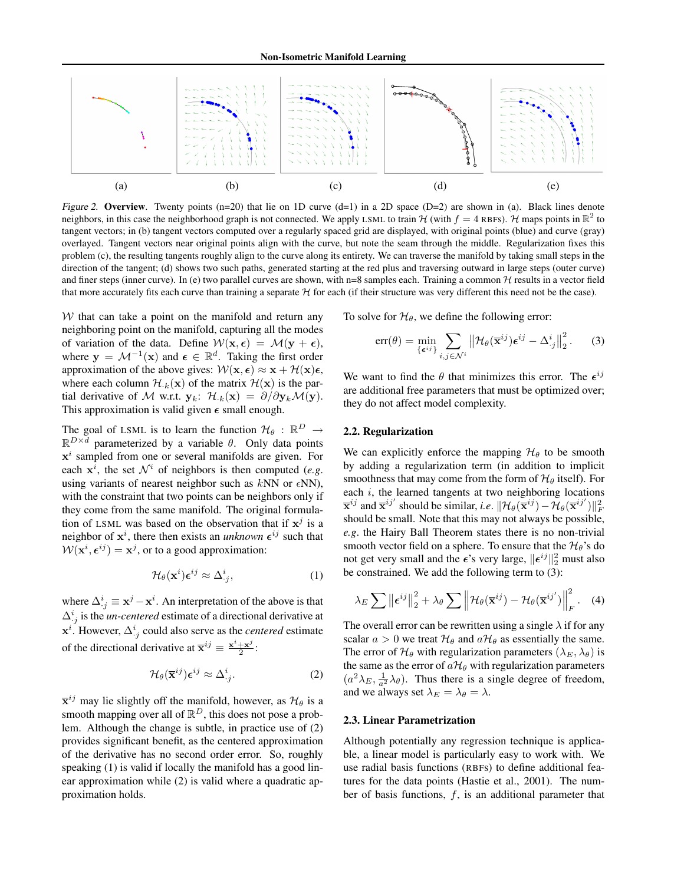

Figure 2. Overview. Twenty points  $(n=20)$  that lie on 1D curve  $(d=1)$  in a 2D space  $(D=2)$  are shown in (a). Black lines denote neighbors, in this case the neighborhood graph is not connected. We apply LSML to train  $H$  (with  $f = 4$  RBFs).  $H$  maps points in  $\mathbb{R}^2$  to tangent vectors; in (b) tangent vectors computed over a regularly spaced grid are displayed, with original points (blue) and curve (gray) overlayed. Tangent vectors near original points align with the curve, but note the seam through the middle. Regularization fixes this problem (c), the resulting tangents roughly align to the curve along its entirety. We can traverse the manifold by taking small steps in the direction of the tangent; (d) shows two such paths, generated starting at the red plus and traversing outward in large steps (outer curve) and finer steps (inner curve). In (e) two parallel curves are shown, with n=8 samples each. Training a common  $H$  results in a vector field that more accurately fits each curve than training a separate  $H$  for each (if their structure was very different this need not be the case).

 $W$  that can take a point on the manifold and return any neighboring point on the manifold, capturing all the modes of variation of the data. Define  $W(\mathbf{x}, \epsilon) = \mathcal{M}(\mathbf{y} + \epsilon)$ , where  $y = \mathcal{M}^{-1}(x)$  and  $\epsilon \in \mathbb{R}^d$ . Taking the first order approximation of the above gives:  $W(\mathbf{x}, \epsilon) \approx \mathbf{x} + \mathcal{H}(\mathbf{x})\epsilon$ , where each column  $\mathcal{H}_{k}(\mathbf{x})$  of the matrix  $\mathcal{H}(\mathbf{x})$  is the partial derivative of M w.r.t.  $y_k$ :  $\mathcal{H}_{k}(\mathbf{x}) = \partial/\partial \mathbf{y}_k \mathcal{M}(\mathbf{y})$ . This approximation is valid given  $\epsilon$  small enough.

The goal of LSML is to learn the function  $\mathcal{H}_{\theta}$  :  $\mathbb{R}^D \to$  $\mathbb{R}^{D \times d}$  parameterized by a variable  $\theta$ . Only data points  $x<sup>i</sup>$  sampled from one or several manifolds are given. For each  $x^i$ , the set  $\mathcal{N}^i$  of neighbors is then computed (*e.g.* using variants of nearest neighbor such as  $kNN$  or  $\epsilon NN$ , with the constraint that two points can be neighbors only if they come from the same manifold. The original formulation of LSML was based on the observation that if  $x^j$  is a neighbor of  $x^i$ , there then exists an *unknown*  $\epsilon^{ij}$  such that  $W(\mathbf{x}^i, \epsilon^{ij}) = \mathbf{x}^j$ , or to a good approximation:

$$
\mathcal{H}_{\theta}(\mathbf{x}^i)\boldsymbol{\epsilon}^{ij} \approx \Delta^i_{\cdot j},\tag{1}
$$

where  $\Delta^i_{,j} \equiv \mathbf{x}^j - \mathbf{x}^i$ . An interpretation of the above is that  $\Delta_{i,j}^{i}$  is the *un-centered* estimate of a directional derivative at  $\mathbf{x}^{i}$ . However,  $\Delta_{.j}^{i}$  could also serve as the *centered* estimate of the directional derivative at  $\bar{\mathbf{x}}^{ij} \equiv \frac{\mathbf{x}^i + \mathbf{x}^j}{2}$  $\frac{+{\bf x}^{\prime}}{2}$ :

$$
\mathcal{H}_{\theta}(\overline{\mathbf{x}}^{ij})\boldsymbol{\epsilon}^{ij} \approx \Delta_{.j}^{i}.
$$
 (2)

 $\bar{x}^{ij}$  may lie slightly off the manifold, however, as  $\mathcal{H}_{\theta}$  is a smooth mapping over all of  $\mathbb{R}^D$ , this does not pose a problem. Although the change is subtle, in practice use of (2) provides significant benefit, as the centered approximation of the derivative has no second order error. So, roughly speaking (1) is valid if locally the manifold has a good linear approximation while (2) is valid where a quadratic approximation holds.

To solve for  $\mathcal{H}_{\theta}$ , we define the following error:

$$
\text{err}(\theta) = \min_{\{\boldsymbol{\epsilon}^{ij}\}} \sum_{i,j \in \mathcal{N}^i} \left\| \mathcal{H}_{\theta}(\overline{\mathbf{x}}^{ij}) \boldsymbol{\epsilon}^{ij} - \Delta^i_{\cdot j} \right\|_2^2. \tag{3}
$$

We want to find the  $\theta$  that minimizes this error. The  $\epsilon^{ij}$ are additional free parameters that must be optimized over; they do not affect model complexity.

#### 2.2. Regularization

We can explicitly enforce the mapping  $\mathcal{H}_{\theta}$  to be smooth by adding a regularization term (in addition to implicit smoothness that may come from the form of  $\mathcal{H}_{\theta}$  itself). For each  $i$ , the learned tangents at two neighboring locations  $\overline{\mathbf{x}}^{ij}$  and  $\overline{\mathbf{x}}^{ij'}$  should be similar, *i.e.*  $\|\mathcal{H}_{\theta}(\overline{\mathbf{x}}^{ij}) - \mathcal{H}_{\theta}(\overline{\mathbf{x}}^{ij'})\|_F^2$ should be small. Note that this may not always be possible, *e.g*. the Hairy Ball Theorem states there is no non-trivial smooth vector field on a sphere. To ensure that the  $\mathcal{H}_{\theta}$ 's do not get very small and the  $\epsilon$ 's very large,  $\|\epsilon^{ij}\|_2^2$  must also be constrained. We add the following term to (3):

$$
\lambda_E \sum ||\boldsymbol{\epsilon}^{ij}||_2^2 + \lambda_\theta \sum ||\mathcal{H}_\theta(\overline{\mathbf{x}}^{ij}) - \mathcal{H}_\theta(\overline{\mathbf{x}}^{ij'})||_F^2.
$$
 (4)

The overall error can be rewritten using a single  $\lambda$  if for any scalar  $a > 0$  we treat  $\mathcal{H}_{\theta}$  and  $a\mathcal{H}_{\theta}$  as essentially the same. The error of  $\mathcal{H}_{\theta}$  with regularization parameters  $(\lambda_E, \lambda_{\theta})$  is the same as the error of  $a\mathcal{H}_{\theta}$  with regularization parameters  $(a^2\lambda_E, \frac{1}{a^2}\lambda_\theta)$ . Thus there is a single degree of freedom, and we always set  $\lambda_E = \lambda_\theta = \lambda$ .

# 2.3. Linear Parametrization

Although potentially any regression technique is applicable, a linear model is particularly easy to work with. We use radial basis functions (RBFs) to define additional features for the data points (Hastie et al., 2001). The number of basis functions,  $f$ , is an additional parameter that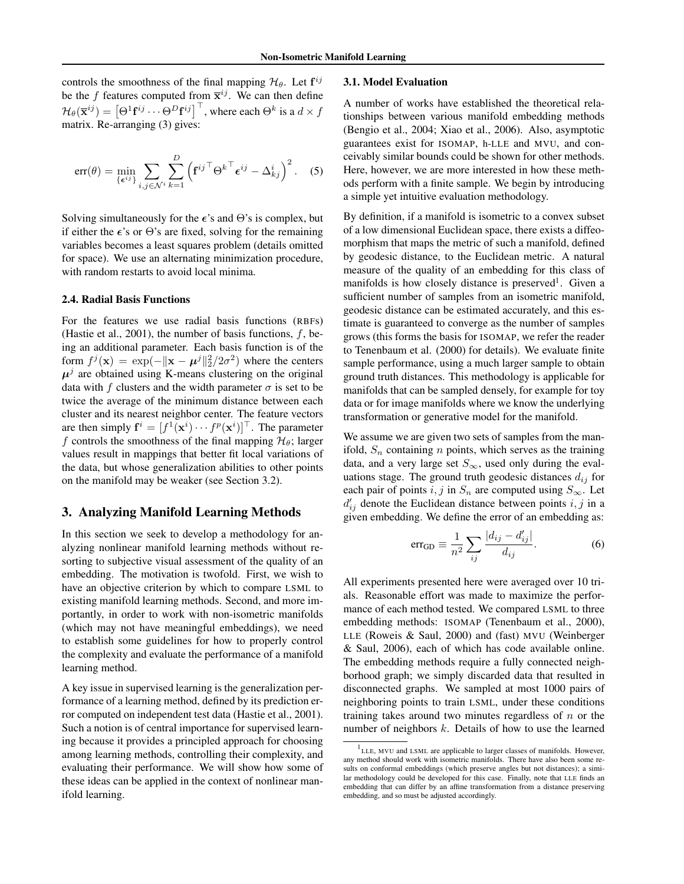controls the smoothness of the final mapping  $\mathcal{H}_{\theta}$ . Let  $f^{ij}$ be the f features computed from  $\bar{\mathbf{x}}^{ij}$ . We can then define  $\mathcal{H}_{\theta}(\overline{\mathbf{x}}^{ij}) = \left[\Theta^1 \mathbf{f}^{ij} \cdots \Theta^D \mathbf{f}^{ij}\right]^\top$ , where each  $\Theta^k$  is a  $d \times f$ matrix. Re-arranging (3) gives:

$$
\text{err}(\theta) = \min_{\{\boldsymbol{\epsilon}^{ij}\}} \sum_{i,j \in \mathcal{N}^i} \sum_{k=1}^D \left( \mathbf{f}^{ij^\top} \boldsymbol{\Theta}^{k^\top} \boldsymbol{\epsilon}^{ij} - \Delta_{kj}^i \right)^2. \quad (5)
$$

Solving simultaneously for the  $\epsilon$ 's and  $\Theta$ 's is complex, but if either the  $\epsilon$ 's or  $\Theta$ 's are fixed, solving for the remaining variables becomes a least squares problem (details omitted for space). We use an alternating minimization procedure, with random restarts to avoid local minima.

# 2.4. Radial Basis Functions

For the features we use radial basis functions (RBFs) (Hastie et al., 2001), the number of basis functions,  $f$ , being an additional parameter. Each basis function is of the form  $f^j(\mathbf{x}) = \exp(-\|\mathbf{x} - \boldsymbol{\mu}^j\|_2^2/2\sigma^2)$  where the centers  $\mu^{j}$  are obtained using K-means clustering on the original data with f clusters and the width parameter  $\sigma$  is set to be twice the average of the minimum distance between each cluster and its nearest neighbor center. The feature vectors are then simply  $f^i = [f^1(\mathbf{x}^i) \cdots f^p(\mathbf{x}^i)]^\top$ . The parameter f controls the smoothness of the final mapping  $\mathcal{H}_{\theta}$ ; larger values result in mappings that better fit local variations of the data, but whose generalization abilities to other points on the manifold may be weaker (see Section 3.2).

# 3. Analyzing Manifold Learning Methods

In this section we seek to develop a methodology for analyzing nonlinear manifold learning methods without resorting to subjective visual assessment of the quality of an embedding. The motivation is twofold. First, we wish to have an objective criterion by which to compare LSML to existing manifold learning methods. Second, and more importantly, in order to work with non-isometric manifolds (which may not have meaningful embeddings), we need to establish some guidelines for how to properly control the complexity and evaluate the performance of a manifold learning method.

A key issue in supervised learning is the generalization performance of a learning method, defined by its prediction error computed on independent test data (Hastie et al., 2001). Such a notion is of central importance for supervised learning because it provides a principled approach for choosing among learning methods, controlling their complexity, and evaluating their performance. We will show how some of these ideas can be applied in the context of nonlinear manifold learning.

#### 3.1. Model Evaluation

A number of works have established the theoretical relationships between various manifold embedding methods (Bengio et al., 2004; Xiao et al., 2006). Also, asymptotic guarantees exist for ISOMAP, h-LLE and MVU, and conceivably similar bounds could be shown for other methods. Here, however, we are more interested in how these methods perform with a finite sample. We begin by introducing a simple yet intuitive evaluation methodology.

By definition, if a manifold is isometric to a convex subset of a low dimensional Euclidean space, there exists a diffeomorphism that maps the metric of such a manifold, defined by geodesic distance, to the Euclidean metric. A natural measure of the quality of an embedding for this class of manifolds is how closely distance is preserved<sup>1</sup>. Given a sufficient number of samples from an isometric manifold, geodesic distance can be estimated accurately, and this estimate is guaranteed to converge as the number of samples grows (this forms the basis for ISOMAP, we refer the reader to Tenenbaum et al. (2000) for details). We evaluate finite sample performance, using a much larger sample to obtain ground truth distances. This methodology is applicable for manifolds that can be sampled densely, for example for toy data or for image manifolds where we know the underlying transformation or generative model for the manifold.

We assume we are given two sets of samples from the manifold,  $S_n$  containing *n* points, which serves as the training data, and a very large set  $S_{\infty}$ , used only during the evaluations stage. The ground truth geodesic distances  $d_{ij}$  for each pair of points i, j in  $S_n$  are computed using  $S_{\infty}$ . Let  $d'_{ij}$  denote the Euclidean distance between points  $i, j$  in a given embedding. We define the error of an embedding as:

$$
err_{GD} \equiv \frac{1}{n^2} \sum_{ij} \frac{|d_{ij} - d'_{ij}|}{d_{ij}}.
$$
 (6)

All experiments presented here were averaged over 10 trials. Reasonable effort was made to maximize the performance of each method tested. We compared LSML to three embedding methods: ISOMAP (Tenenbaum et al., 2000), LLE (Roweis & Saul, 2000) and (fast) MVU (Weinberger & Saul, 2006), each of which has code available online. The embedding methods require a fully connected neighborhood graph; we simply discarded data that resulted in disconnected graphs. We sampled at most 1000 pairs of neighboring points to train LSML, under these conditions training takes around two minutes regardless of  $n$  or the number of neighbors  $k$ . Details of how to use the learned

<sup>&</sup>lt;sup>1</sup>LLE, MVU and LSML are applicable to larger classes of manifolds. However, any method should work with isometric manifolds. There have also been some results on conformal embeddings (which preserve angles but not distances); a similar methodology could be developed for this case. Finally, note that LLE finds an embedding that can differ by an affine transformation from a distance preserving embedding, and so must be adjusted accordingly.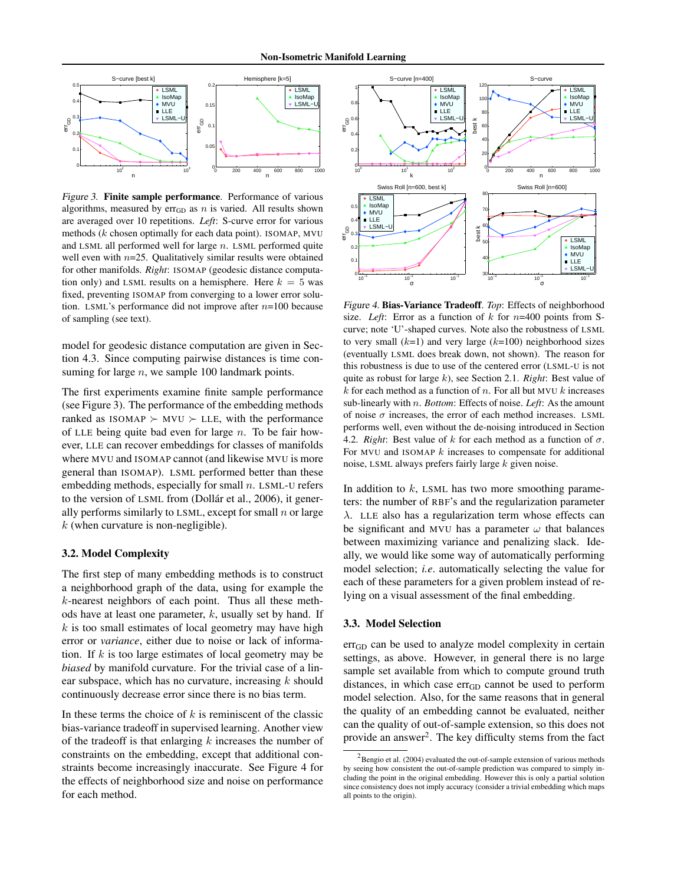

Figure 3. Finite sample performance. Performance of various algorithms, measured by  $err_{GD}$  as n is varied. All results shown are averaged over 10 repetitions. *Left*: S-curve error for various methods  $(k \text{ chosen optimally for each data point})$ . ISOMAP, MVU and LSML all performed well for large  $n$ . LSML performed quite well even with  $n=25$ . Qualitatively similar results were obtained for other manifolds. *Right*: ISOMAP (geodesic distance computation only) and LSML results on a hemisphere. Here  $k = 5$  was fixed, preventing ISOMAP from converging to a lower error solution. LSML's performance did not improve after  $n=100$  because of sampling (see text).

model for geodesic distance computation are given in Section 4.3. Since computing pairwise distances is time consuming for large  $n$ , we sample 100 landmark points.

The first experiments examine finite sample performance (see Figure 3). The performance of the embedding methods ranked as ISOMAP  $\succ$  MVU  $\succ$  LLE, with the performance of LLE being quite bad even for large  $n$ . To be fair however, LLE can recover embeddings for classes of manifolds where MVU and ISOMAP cannot (and likewise MVU is more general than ISOMAP). LSML performed better than these embedding methods, especially for small  $n$ . LSML-U refers to the version of LSML from (Dollár et al., 2006), it generally performs similarly to LSML, except for small  $n$  or large  $k$  (when curvature is non-negligible).

# 3.2. Model Complexity

The first step of many embedding methods is to construct a neighborhood graph of the data, using for example the k-nearest neighbors of each point. Thus all these methods have at least one parameter,  $k$ , usually set by hand. If  $k$  is too small estimates of local geometry may have high error or *variance*, either due to noise or lack of information. If  $k$  is too large estimates of local geometry may be *biased* by manifold curvature. For the trivial case of a linear subspace, which has no curvature, increasing  $k$  should continuously decrease error since there is no bias term.

In these terms the choice of  $k$  is reminiscent of the classic bias-variance tradeoff in supervised learning. Another view of the tradeoff is that enlarging  $k$  increases the number of constraints on the embedding, except that additional constraints become increasingly inaccurate. See Figure 4 for the effects of neighborhood size and noise on performance for each method.



Figure 4. Bias-Variance Tradeoff. *Top*: Effects of neighborhood size. *Left*: Error as a function of  $k$  for  $n=400$  points from Scurve; note 'U'-shaped curves. Note also the robustness of LSML to very small  $(k=1)$  and very large  $(k=100)$  neighborhood sizes (eventually LSML does break down, not shown). The reason for this robustness is due to use of the centered error (LSML-U is not quite as robust for large k), see Section 2.1. *Right*: Best value of  $k$  for each method as a function of  $n$ . For all but MVU  $k$  increases sub-linearly with n. *Bottom*: Effects of noise. *Left*: As the amount of noise  $\sigma$  increases, the error of each method increases. LSML performs well, even without the de-noising introduced in Section 4.2. *Right*: Best value of k for each method as a function of  $\sigma$ . For MVU and ISOMAP  $k$  increases to compensate for additional noise, LSML always prefers fairly large k given noise.

In addition to  $k$ , LSML has two more smoothing parameters: the number of RBF's and the regularization parameter  $\lambda$ . LLE also has a regularization term whose effects can be significant and MVU has a parameter  $\omega$  that balances between maximizing variance and penalizing slack. Ideally, we would like some way of automatically performing model selection; *i.e*. automatically selecting the value for each of these parameters for a given problem instead of relying on a visual assessment of the final embedding.

#### 3.3. Model Selection

 $err_{GD}$  can be used to analyze model complexity in certain settings, as above. However, in general there is no large sample set available from which to compute ground truth distances, in which case  $err_{GD}$  cannot be used to perform model selection. Also, for the same reasons that in general the quality of an embedding cannot be evaluated, neither can the quality of out-of-sample extension, so this does not provide an answer<sup>2</sup>. The key difficulty stems from the fact

 $2^2$ Bengio et al. (2004) evaluated the out-of-sample extension of various methods by seeing how consistent the out-of-sample prediction was compared to simply including the point in the original embedding. However this is only a partial solution since consistency does not imply accuracy (consider a trivial embedding which maps all points to the origin).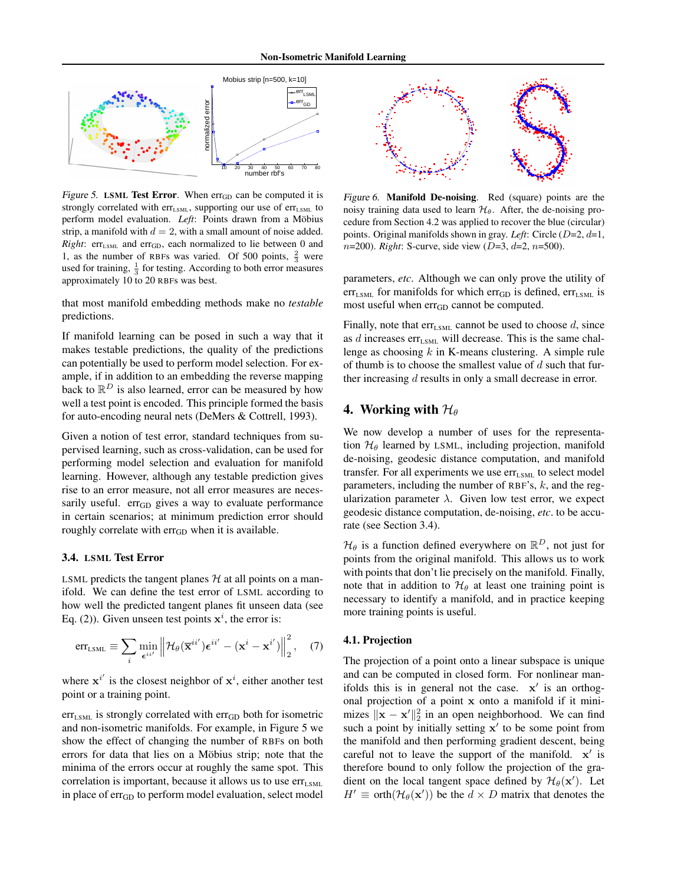

Figure 5. LSML Test Error. When  $err_{GD}$  can be computed it is strongly correlated with err<sub>LSML</sub>, supporting our use of err<sub>LSML</sub> to perform model evaluation. *Left*: Points drawn from a Möbius strip, a manifold with  $d = 2$ , with a small amount of noise added. *Right*: err<sub>LSML</sub> and err<sub>GD</sub>, each normalized to lie between 0 and 1, as the number of RBFs was varied. Of 500 points,  $\frac{2}{3}$  were used for training,  $\frac{1}{3}$  for testing. According to both error measures approximately 10 to 20 RBFs was best.

that most manifold embedding methods make no *testable* predictions.

If manifold learning can be posed in such a way that it makes testable predictions, the quality of the predictions can potentially be used to perform model selection. For example, if in addition to an embedding the reverse mapping back to  $\mathbb{R}^D$  is also learned, error can be measured by how well a test point is encoded. This principle formed the basis for auto-encoding neural nets (DeMers & Cottrell, 1993).

Given a notion of test error, standard techniques from supervised learning, such as cross-validation, can be used for performing model selection and evaluation for manifold learning. However, although any testable prediction gives rise to an error measure, not all error measures are necessarily useful.  $err_{GD}$  gives a way to evaluate performance in certain scenarios; at minimum prediction error should roughly correlate with  $err_{GD}$  when it is available.

#### 3.4. LSML Test Error

LSML predicts the tangent planes  $H$  at all points on a manifold. We can define the test error of LSML according to how well the predicted tangent planes fit unseen data (see Eq. (2)). Given unseen test points  $x^i$ , the error is:

$$
\text{err}_{\text{LSML}} \equiv \sum_{i} \min_{\boldsymbol{\epsilon}^{ii'}} \left\| \mathcal{H}_{\theta}(\overline{\mathbf{x}}^{ii'}) \boldsymbol{\epsilon}^{ii'} - (\mathbf{x}^i - \mathbf{x}^{i'}) \right\|_{2}^{2}, \quad (7)
$$

where  $x^{i'}$  is the closest neighbor of  $x^{i}$ , either another test point or a training point.

 $err_{LSML}$  is strongly correlated with  $err_{GD}$  both for isometric and non-isometric manifolds. For example, in Figure 5 we show the effect of changing the number of RBFs on both errors for data that lies on a Möbius strip; note that the minima of the errors occur at roughly the same spot. This correlation is important, because it allows us to use  $err_{LSML}$ in place of  $err_{GD}$  to perform model evaluation, select model



Figure 6. Manifold De-noising. Red (square) points are the noisy training data used to learn  $\mathcal{H}_{\theta}$ . After, the de-noising procedure from Section 4.2 was applied to recover the blue (circular) points. Original manifolds shown in gray. *Left*: Circle (D=2, d=1, n=200). *Right*: S-curve, side view (D=3, d=2, n=500).

parameters, *etc*. Although we can only prove the utility of  $err_{LSML}$  for manifolds for which err<sub>GD</sub> is defined,  $err_{LSML}$  is most useful when  $err_{GD}$  cannot be computed.

Finally, note that  $err_{LSML}$  cannot be used to choose d, since as  $d$  increases  $err_{LSML}$  will decrease. This is the same challenge as choosing  $k$  in K-means clustering. A simple rule of thumb is to choose the smallest value of  $d$  such that further increasing d results in only a small decrease in error.

# 4. Working with  $\mathcal{H}_{\theta}$

We now develop a number of uses for the representation  $\mathcal{H}_{\theta}$  learned by LSML, including projection, manifold de-noising, geodesic distance computation, and manifold transfer. For all experiments we use err<sub>LSML</sub> to select model parameters, including the number of RBF's,  $k$ , and the regularization parameter  $\lambda$ . Given low test error, we expect geodesic distance computation, de-noising, *etc*. to be accurate (see Section 3.4).

 $\mathcal{H}_{\theta}$  is a function defined everywhere on  $\mathbb{R}^D$ , not just for points from the original manifold. This allows us to work with points that don't lie precisely on the manifold. Finally, note that in addition to  $\mathcal{H}_{\theta}$  at least one training point is necessary to identify a manifold, and in practice keeping more training points is useful.

# 4.1. Projection

The projection of a point onto a linear subspace is unique and can be computed in closed form. For nonlinear manifolds this is in general not the case.  $x'$  is an orthogonal projection of a point x onto a manifold if it minimizes  $\|\mathbf{x} - \mathbf{x}'\|_2^2$  in an open neighborhood. We can find such a point by initially setting  $x'$  to be some point from the manifold and then performing gradient descent, being careful not to leave the support of the manifold.  $x'$  is therefore bound to only follow the projection of the gradient on the local tangent space defined by  $\mathcal{H}_{\theta}(\mathbf{x}')$ . Let  $H' \equiv \text{orth}(\mathcal{H}_{\theta}(\mathbf{x}'))$  be the  $d \times D$  matrix that denotes the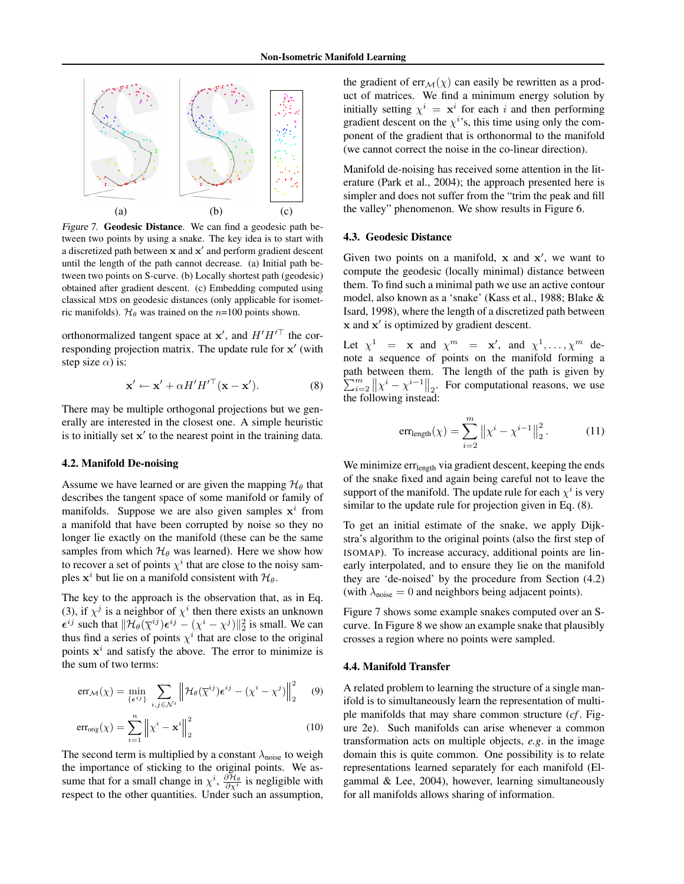

Figure 7. Geodesic Distance. We can find a geodesic path between two points by using a snake. The key idea is to start with a discretized path between  $x$  and  $x'$  and perform gradient descent until the length of the path cannot decrease. (a) Initial path between two points on S-curve. (b) Locally shortest path (geodesic) obtained after gradient descent. (c) Embedding computed using classical MDS on geodesic distances (only applicable for isometric manifolds).  $\mathcal{H}_{\theta}$  was trained on the n=100 points shown.

orthonormalized tangent space at  $x'$ , and  $H'H'^{\top}$  the corresponding projection matrix. The update rule for x' (with step size  $\alpha$ ) is:

$$
\mathbf{x}' \leftarrow \mathbf{x}' + \alpha H' H'^\top (\mathbf{x} - \mathbf{x}'). \tag{8}
$$

There may be multiple orthogonal projections but we generally are interested in the closest one. A simple heuristic is to initially set  $x'$  to the nearest point in the training data.

# 4.2. Manifold De-noising

Assume we have learned or are given the mapping  $\mathcal{H}_{\theta}$  that describes the tangent space of some manifold or family of manifolds. Suppose we are also given samples  $x^i$  from a manifold that have been corrupted by noise so they no longer lie exactly on the manifold (these can be the same samples from which  $\mathcal{H}_{\theta}$  was learned). Here we show how to recover a set of points  $\chi^i$  that are close to the noisy samples  $x^i$  but lie on a manifold consistent with  $\mathcal{H}_{\theta}$ .

The key to the approach is the observation that, as in Eq. (3), if  $\chi^j$  is a neighbor of  $\chi^i$  then there exists an unknown  $\epsilon^{ij}$  such that  $\|\mathcal{H}_{\theta}(\overline{\chi}^{ij})\epsilon^{ij} - (\chi^i - \chi^j)\|_2^2$  is small. We can thus find a series of points  $\chi^i$  that are close to the original points  $x^i$  and satisfy the above. The error to minimize is the sum of two terms:

$$
\operatorname{err}_{\mathcal{M}}(\chi) = \min_{\{\epsilon^{ij}\}} \sum_{i,j \in \mathcal{N}^i} \left\| \mathcal{H}_{\theta}(\overline{\chi}^{ij}) \epsilon^{ij} - (\chi^i - \chi^j) \right\|_2^2 \tag{9}
$$

$$
err_{\text{orig}}(\chi) = \sum_{i=1}^{n} \left\| \chi^i - \mathbf{x}^i \right\|_2^2
$$
 (10)

The second term is multiplied by a constant  $\lambda_{noise}$  to weigh the importance of sticking to the original points. We assume that for a small change in  $\chi^i$ ,  $\frac{\partial \mathcal{H}_{\theta}}{\partial \chi^i}$  is negligible with respect to the other quantities. Under such an assumption, the gradient of  $err_{\mathcal{M}}(\chi)$  can easily be rewritten as a product of matrices. We find a minimum energy solution by initially setting  $\chi^i = \mathbf{x}^i$  for each i and then performing gradient descent on the  $\chi^{i}$ 's, this time using only the component of the gradient that is orthonormal to the manifold (we cannot correct the noise in the co-linear direction).

Manifold de-noising has received some attention in the literature (Park et al., 2004); the approach presented here is simpler and does not suffer from the "trim the peak and fill the valley" phenomenon. We show results in Figure 6.

# 4.3. Geodesic Distance

Given two points on a manifold,  $x$  and  $x'$ , we want to compute the geodesic (locally minimal) distance between them. To find such a minimal path we use an active contour model, also known as a 'snake' (Kass et al., 1988; Blake & Isard, 1998), where the length of a discretized path between  $x$  and  $x'$  is optimized by gradient descent.

Let  $\chi^1$  = **x** and  $\chi^m$  = **x'**, and  $\chi^1, \ldots, \chi^m$  denote a sequence of points on the manifold forming a path between them. The length of the path is given by  $\sum_{i=2}^{m} ||x^{i} - x^{i-1}||_{2}$ . For computational reasons, we use the following instead:

err<sub>length</sub>
$$
(\chi)
$$
 =  $\sum_{i=2}^{m} ||\chi^{i} - \chi^{i-1}||_2^2$ . (11)

We minimize errlength via gradient descent, keeping the ends of the snake fixed and again being careful not to leave the support of the manifold. The update rule for each  $\chi^i$  is very similar to the update rule for projection given in Eq. (8).

To get an initial estimate of the snake, we apply Dijkstra's algorithm to the original points (also the first step of ISOMAP). To increase accuracy, additional points are linearly interpolated, and to ensure they lie on the manifold they are 'de-noised' by the procedure from Section (4.2) (with  $\lambda_{\text{noise}} = 0$  and neighbors being adjacent points).

Figure 7 shows some example snakes computed over an Scurve. In Figure 8 we show an example snake that plausibly crosses a region where no points were sampled.

#### 4.4. Manifold Transfer

A related problem to learning the structure of a single manifold is to simultaneously learn the representation of multiple manifolds that may share common structure (*cf* . Figure 2e). Such manifolds can arise whenever a common transformation acts on multiple objects, *e.g*. in the image domain this is quite common. One possibility is to relate representations learned separately for each manifold (Elgammal & Lee, 2004), however, learning simultaneously for all manifolds allows sharing of information.